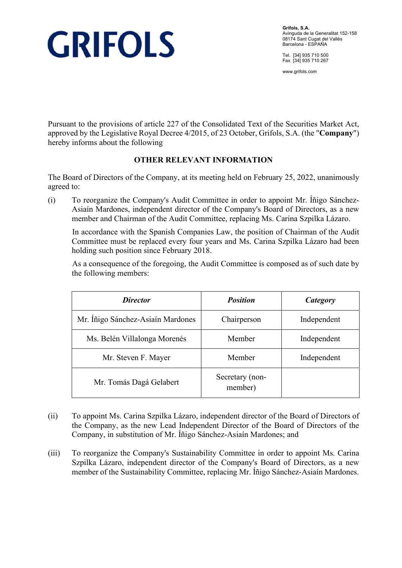

**Grifols, S.A.**  Avinguda de la Generalitat 152-158 08174 Sant Cugat del Vallès Barcelona - ESPAÑA

Tel. [34] 935 710 500 Fax [34] 935 710 267

www.grifols.com

Pursuant to the provisions of article 227 of the Consolidated Text of the Securities Market Act, approved by the Legislative Royal Decree 4/2015, of 23 October, Grifols, S.A. (the "**Company**") hereby informs about the following

## **OTHER RELEVANT INFORMATION**

The Board of Directors of the Company, at its meeting held on February 25, 2022, unanimously agreed to:

(i) To reorganize the Company's Audit Committee in order to appoint Mr. Íñigo Sánchez-Asiaín Mardones, independent director of the Company's Board of Directors, as a new member and Chairman of the Audit Committee, replacing Ms. Carina Szpilka Lázaro.

In accordance with the Spanish Companies Law, the position of Chairman of the Audit Committee must be replaced every four years and Ms. Carina Szpilka Lázaro had been holding such position since February 2018.

 As a consequence of the foregoing, the Audit Committee is composed as of such date by the following members:

| <i>Director</i>                   | <b>Position</b>            | Category    |
|-----------------------------------|----------------------------|-------------|
| Mr. Íñigo Sánchez-Asiaín Mardones | Chairperson                | Independent |
| Ms. Belén Villalonga Morenés      | Member                     | Independent |
| Mr. Steven F. Mayer               | Member                     | Independent |
| Mr. Tomás Dagá Gelabert           | Secretary (non-<br>member) |             |

- (ii) To appoint Ms. Carina Szpilka Lázaro, independent director of the Board of Directors of the Company, as the new Lead Independent Director of the Board of Directors of the Company, in substitution of Mr. Íñigo Sánchez-Asiaín Mardones; and
- (iii) To reorganize the Company's Sustainability Committee in order to appoint Ms. Carina Szpilka Lázaro, independent director of the Company's Board of Directors, as a new member of the Sustainability Committee, replacing Mr. Íñigo Sánchez-Asiaín Mardones.